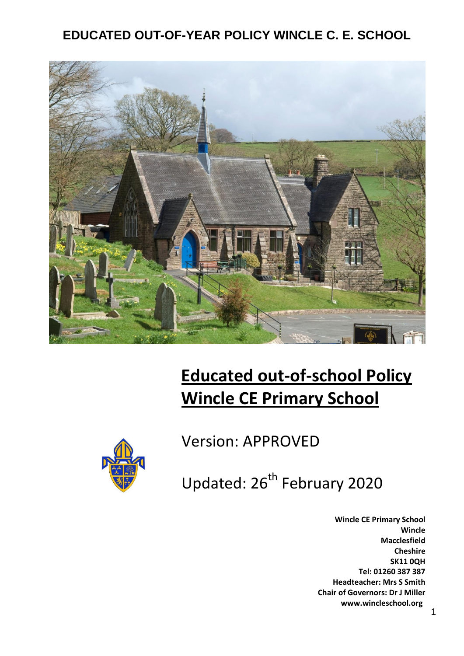

# **Educated out-of-school Policy Wincle CE Primary School**



Version: APPROVED

Updated: 26<sup>th</sup> February 2020

**Wincle CE Primary School Wincle Macclesfield Cheshire SK11 0QH Tel: 01260 387 387 Headteacher: Mrs S Smith Chair of Governors: Dr J Miller www.wincleschool.org**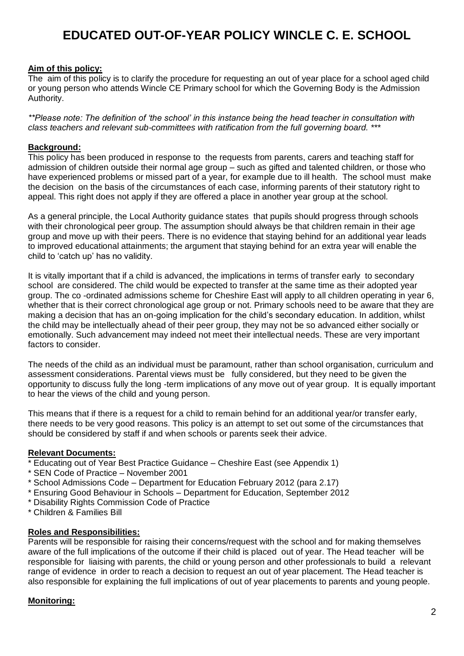#### **Aim of this policy:**

The aim of this policy is to clarify the procedure for requesting an out of year place for a school aged child or young person who attends Wincle CE Primary school for which the Governing Body is the Admission Authority.

*\*\*Please note: The definition of 'the school' in this instance being the head teacher in consultation with class teachers and relevant sub-committees with ratification from the full governing board. \*\*\**

#### **Background:**

This policy has been produced in response to the requests from parents, carers and teaching staff for admission of children outside their normal age group – such as gifted and talented children, or those who have experienced problems or missed part of a year, for example due to ill health. The school must make the decision on the basis of the circumstances of each case, informing parents of their statutory right to appeal. This right does not apply if they are offered a place in another year group at the school.

As a general principle, the Local Authority guidance states that pupils should progress through schools with their chronological peer group. The assumption should always be that children remain in their age group and move up with their peers. There is no evidence that staying behind for an additional year leads to improved educational attainments; the argument that staying behind for an extra year will enable the child to 'catch up' has no validity.

It is vitally important that if a child is advanced, the implications in terms of transfer early to secondary school are considered. The child would be expected to transfer at the same time as their adopted year group. The co -ordinated admissions scheme for Cheshire East will apply to all children operating in year 6, whether that is their correct chronological age group or not. Primary schools need to be aware that they are making a decision that has an on-going implication for the child's secondary education. In addition, whilst the child may be intellectually ahead of their peer group, they may not be so advanced either socially or emotionally. Such advancement may indeed not meet their intellectual needs. These are very important factors to consider.

The needs of the child as an individual must be paramount, rather than school organisation, curriculum and assessment considerations. Parental views must be fully considered, but they need to be given the opportunity to discuss fully the long -term implications of any move out of year group. It is equally important to hear the views of the child and young person.

This means that if there is a request for a child to remain behind for an additional year/or transfer early, there needs to be very good reasons. This policy is an attempt to set out some of the circumstances that should be considered by staff if and when schools or parents seek their advice.

#### **Relevant Documents:**

- \* Educating out of Year Best Practice Guidance Cheshire East (see Appendix 1)
- \* SEN Code of Practice November 2001
- \* School Admissions Code Department for Education February 2012 (para 2.17)
- \* Ensuring Good Behaviour in Schools Department for Education, September 2012
- \* Disability Rights Commission Code of Practice
- \* Children & Families Bill

#### **Roles and Responsibilities:**

Parents will be responsible for raising their concerns/request with the school and for making themselves aware of the full implications of the outcome if their child is placed out of year. The Head teacher will be responsible for liaising with parents, the child or young person and other professionals to build a relevant range of evidence in order to reach a decision to request an out of year placement. The Head teacher is also responsible for explaining the full implications of out of year placements to parents and young people.

#### **Monitoring:**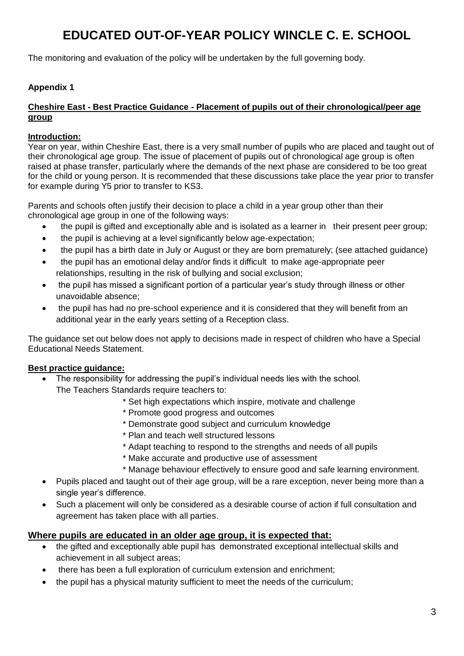The monitoring and evaluation of the policy will be undertaken by the full governing body.

### **Appendix 1**

### **Cheshire East - Best Practice Guidance - Placement of pupils out of their chronological/peer age group**

### **Introduction:**

Year on year, within Cheshire East, there is a very small number of pupils who are placed and taught out of their chronological age group. The issue of placement of pupils out of chronological age group is often raised at phase transfer, particularly where the demands of the next phase are considered to be too great for the child or young person. It is recommended that these discussions take place the year prior to transfer for example during Y5 prior to transfer to KS3.

Parents and schools often justify their decision to place a child in a year group other than their chronological age group in one of the following ways:

- the pupil is gifted and exceptionally able and is isolated as a learner in their present peer group;
- the pupil is achieving at a level significantly below age-expectation;
- the pupil has a birth date in July or August or they are born prematurely; (see attached guidance)
- the pupil has an emotional delay and/or finds it difficult to make age-appropriate peer relationships, resulting in the risk of bullying and social exclusion;
- the pupil has missed a significant portion of a particular year's study through illness or other unavoidable absence;
- the pupil has had no pre-school experience and it is considered that they will benefit from an additional year in the early years setting of a Reception class.

The guidance set out below does not apply to decisions made in respect of children who have a Special Educational Needs Statement.

### **Best practice guidance:**

- The responsibility for addressing the pupil's individual needs lies with the school.
	- The Teachers Standards require teachers to:
		- \* Set high expectations which inspire, motivate and challenge
		- \* Promote good progress and outcomes
		- \* Demonstrate good subject and curriculum knowledge
		- \* Plan and teach well structured lessons
		- \* Adapt teaching to respond to the strengths and needs of all pupils
		- \* Make accurate and productive use of assessment
		- \* Manage behaviour effectively to ensure good and safe learning environment.
- Pupils placed and taught out of their age group, will be a rare exception, never being more than a single year's difference.
- Such a placement will only be considered as a desirable course of action if full consultation and agreement has taken place with all parties.

### **Where pupils are educated in an older age group, it is expected that:**

- the gifted and exceptionally able pupil has demonstrated exceptional intellectual skills and achievement in all subject areas;
- there has been a full exploration of curriculum extension and enrichment;
- the pupil has a physical maturity sufficient to meet the needs of the curriculum;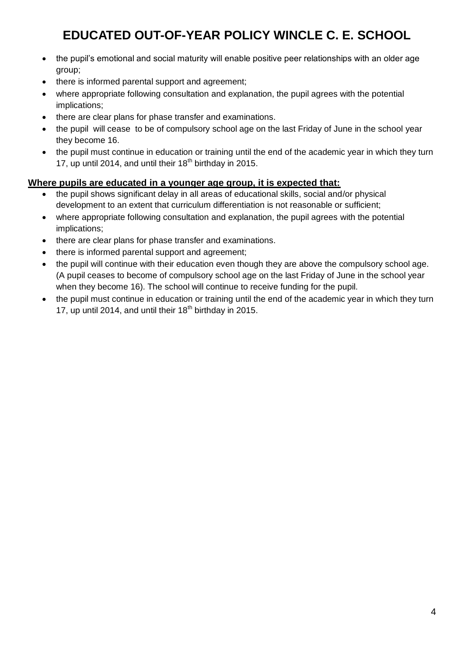- the pupil's emotional and social maturity will enable positive peer relationships with an older age group;
- there is informed parental support and agreement;
- where appropriate following consultation and explanation, the pupil agrees with the potential implications;
- there are clear plans for phase transfer and examinations.
- the pupil will cease to be of compulsory school age on the last Friday of June in the school year they become 16.
- the pupil must continue in education or training until the end of the academic year in which they turn 17, up until 2014, and until their  $18<sup>th</sup>$  birthday in 2015.

### **Where pupils are educated in a younger age group, it is expected that:**

- the pupil shows significant delay in all areas of educational skills, social and/or physical development to an extent that curriculum differentiation is not reasonable or sufficient;
- where appropriate following consultation and explanation, the pupil agrees with the potential implications;
- there are clear plans for phase transfer and examinations.
- there is informed parental support and agreement;
- the pupil will continue with their education even though they are above the compulsory school age. (A pupil ceases to become of compulsory school age on the last Friday of June in the school year when they become 16). The school will continue to receive funding for the pupil.
- the pupil must continue in education or training until the end of the academic year in which they turn 17, up until 2014, and until their  $18<sup>th</sup>$  birthday in 2015.